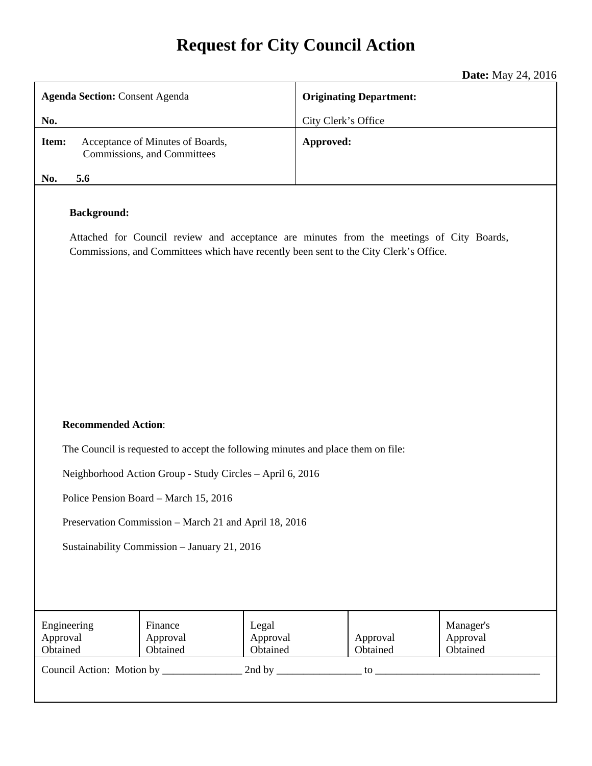# **Request for City Council Action**

**Date:** May 24, 2016

| <b>Agenda Section: Consent Agenda</b>                                                                                                                                                                   | <b>Originating Department:</b> |  |
|---------------------------------------------------------------------------------------------------------------------------------------------------------------------------------------------------------|--------------------------------|--|
| No.                                                                                                                                                                                                     | City Clerk's Office            |  |
| Item:<br>Acceptance of Minutes of Boards,<br>Commissions, and Committees                                                                                                                                | Approved:                      |  |
| 5.6<br>No.                                                                                                                                                                                              |                                |  |
| <b>Background:</b><br>Attached for Council review and acceptance are minutes from the meetings of City Boards,<br>Commissions, and Committees which have recently been sent to the City Clerk's Office. |                                |  |

## **Recommended Action**:

The Council is requested to accept the following minutes and place them on file:

Neighborhood Action Group - Study Circles – April 6, 2016

Police Pension Board – March 15, 2016

Preservation Commission – March 21 and April 18, 2016

Sustainability Commission – January 21, 2016

| Engineering<br>Approval<br>Obtained | Finance<br>Approval<br>Obtained | Legal<br>Approval<br>Obtained | Approval<br>Obtained | Manager's<br>Approval<br>Obtained |
|-------------------------------------|---------------------------------|-------------------------------|----------------------|-----------------------------------|
| Council Action: Motion by           |                                 | 2nd by                        | tΩ                   |                                   |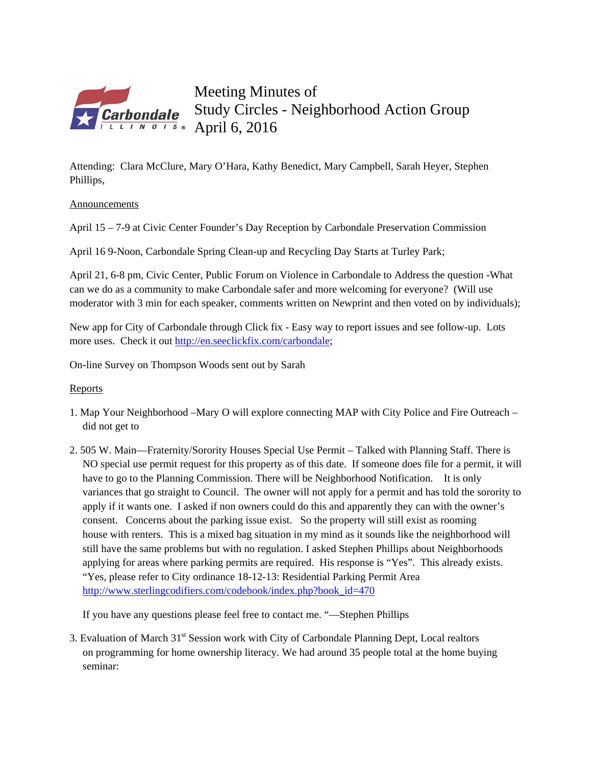

Meeting Minutes of Study Circles - Neighborhood Action Group **Parbondale** Study Current

Attending: Clara McClure, Mary O'Hara, Kathy Benedict, Mary Campbell, Sarah Heyer, Stephen Phillips,

Announcements

April 15 – 7-9 at Civic Center Founder's Day Reception by Carbondale Preservation Commission

April 16 9-Noon, Carbondale Spring Clean-up and Recycling Day Starts at Turley Park;

April 21, 6-8 pm, Civic Center, Public Forum on Violence in Carbondale to Address the question -What can we do as a community to make Carbondale safer and more welcoming for everyone? (Will use moderator with 3 min for each speaker, comments written on Newprint and then voted on by individuals);

New app for City of Carbondale through Click fix - Easy way to report issues and see follow-up. Lots more uses. Check it out http://en.seeclickfix.com/carbondale;

On-line Survey on Thompson Woods sent out by Sarah

## Reports

- 1. Map Your Neighborhood –Mary O will explore connecting MAP with City Police and Fire Outreach did not get to
- 2. 505 W. Main—Fraternity/Sorority Houses Special Use Permit Talked with Planning Staff. There is NO special use permit request for this property as of this date. If someone does file for a permit, it will have to go to the Planning Commission. There will be Neighborhood Notification. It is only variances that go straight to Council. The owner will not apply for a permit and has told the sorority to apply if it wants one. I asked if non owners could do this and apparently they can with the owner's consent. Concerns about the parking issue exist. So the property will still exist as rooming house with renters. This is a mixed bag situation in my mind as it sounds like the neighborhood will still have the same problems but with no regulation. I asked Stephen Phillips about Neighborhoods applying for areas where parking permits are required. His response is "Yes". This already exists. "Yes, please refer to City ordinance 18-12-13: Residential Parking Permit Area http://www.sterlingcodifiers.com/codebook/index.php?book\_id=470

If you have any questions please feel free to contact me. "—Stephen Phillips

3. Evaluation of March 31<sup>st</sup> Session work with City of Carbondale Planning Dept, Local realtors on programming for home ownership literacy. We had around 35 people total at the home buying seminar: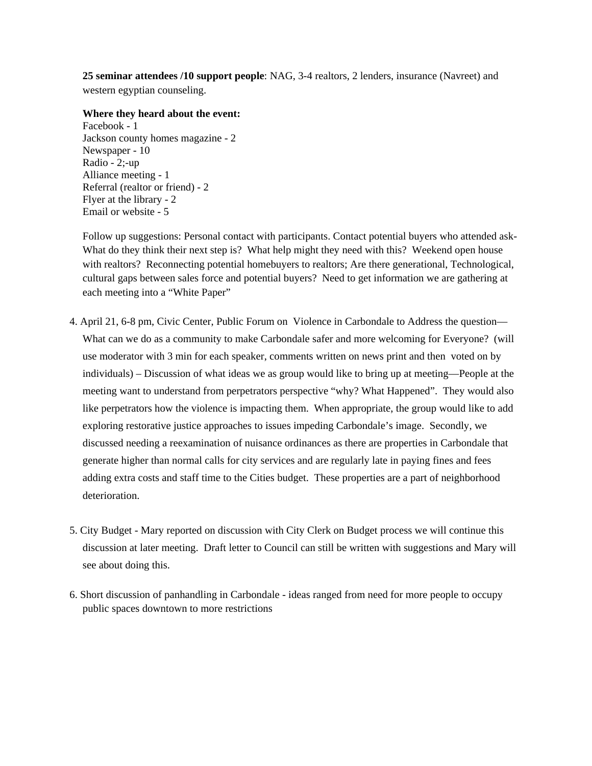**25 seminar attendees /10 support people**: NAG, 3-4 realtors, 2 lenders, insurance (Navreet) and western egyptian counseling.

### **Where they heard about the event:**

Facebook - 1 Jackson county homes magazine - 2 Newspaper - 10 Radio - 2;-up Alliance meeting - 1 Referral (realtor or friend) - 2 Flyer at the library - 2 Email or website - 5

Follow up suggestions: Personal contact with participants. Contact potential buyers who attended ask-What do they think their next step is? What help might they need with this? Weekend open house with realtors? Reconnecting potential homebuyers to realtors; Are there generational, Technological, cultural gaps between sales force and potential buyers? Need to get information we are gathering at each meeting into a "White Paper"

- 4. April 21, 6-8 pm, Civic Center, Public Forum on Violence in Carbondale to Address the question— What can we do as a community to make Carbondale safer and more welcoming for Everyone? (will use moderator with 3 min for each speaker, comments written on news print and then voted on by individuals) – Discussion of what ideas we as group would like to bring up at meeting—People at the meeting want to understand from perpetrators perspective "why? What Happened". They would also like perpetrators how the violence is impacting them. When appropriate, the group would like to add exploring restorative justice approaches to issues impeding Carbondale's image. Secondly, we discussed needing a reexamination of nuisance ordinances as there are properties in Carbondale that generate higher than normal calls for city services and are regularly late in paying fines and fees adding extra costs and staff time to the Cities budget. These properties are a part of neighborhood deterioration.
- 5. City Budget Mary reported on discussion with City Clerk on Budget process we will continue this discussion at later meeting. Draft letter to Council can still be written with suggestions and Mary will see about doing this.
- 6. Short discussion of panhandling in Carbondale ideas ranged from need for more people to occupy public spaces downtown to more restrictions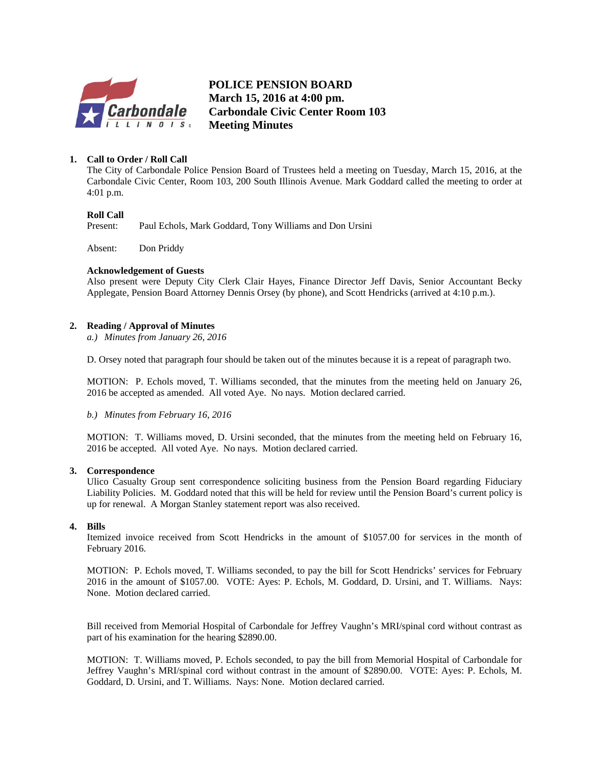

**POLICE PENSION BOARD March 15, 2016 at 4:00 pm. Carbondale Civic Center Room 103 Meeting Minutes**

### **1. Call to Order / Roll Call**

The City of Carbondale Police Pension Board of Trustees held a meeting on Tuesday, March 15, 2016, at the Carbondale Civic Center, Room 103, 200 South Illinois Avenue. Mark Goddard called the meeting to order at 4:01 p.m.

### **Roll Call**

Present: Paul Echols, Mark Goddard, Tony Williams and Don Ursini

Absent: Don Priddy

### **Acknowledgement of Guests**

Also present were Deputy City Clerk Clair Hayes, Finance Director Jeff Davis, Senior Accountant Becky Applegate, Pension Board Attorney Dennis Orsey (by phone), and Scott Hendricks (arrived at 4:10 p.m.).

### **2. Reading / Approval of Minutes**

*a.) Minutes from January 26, 2016* 

D. Orsey noted that paragraph four should be taken out of the minutes because it is a repeat of paragraph two.

MOTION: P. Echols moved, T. Williams seconded, that the minutes from the meeting held on January 26, 2016 be accepted as amended. All voted Aye. No nays. Motion declared carried.

*b.) Minutes from February 16, 2016* 

MOTION: T. Williams moved, D. Ursini seconded, that the minutes from the meeting held on February 16, 2016 be accepted. All voted Aye. No nays. Motion declared carried.

### **3. Correspondence**

Ulico Casualty Group sent correspondence soliciting business from the Pension Board regarding Fiduciary Liability Policies. M. Goddard noted that this will be held for review until the Pension Board's current policy is up for renewal. A Morgan Stanley statement report was also received.

### **4. Bills**

Itemized invoice received from Scott Hendricks in the amount of \$1057.00 for services in the month of February 2016.

MOTION: P. Echols moved, T. Williams seconded, to pay the bill for Scott Hendricks' services for February 2016 in the amount of \$1057.00. VOTE: Ayes: P. Echols, M. Goddard, D. Ursini, and T. Williams. Nays: None. Motion declared carried.

Bill received from Memorial Hospital of Carbondale for Jeffrey Vaughn's MRI/spinal cord without contrast as part of his examination for the hearing \$2890.00.

MOTION: T. Williams moved, P. Echols seconded, to pay the bill from Memorial Hospital of Carbondale for Jeffrey Vaughn's MRI/spinal cord without contrast in the amount of \$2890.00. VOTE: Ayes: P. Echols, M. Goddard, D. Ursini, and T. Williams. Nays: None. Motion declared carried.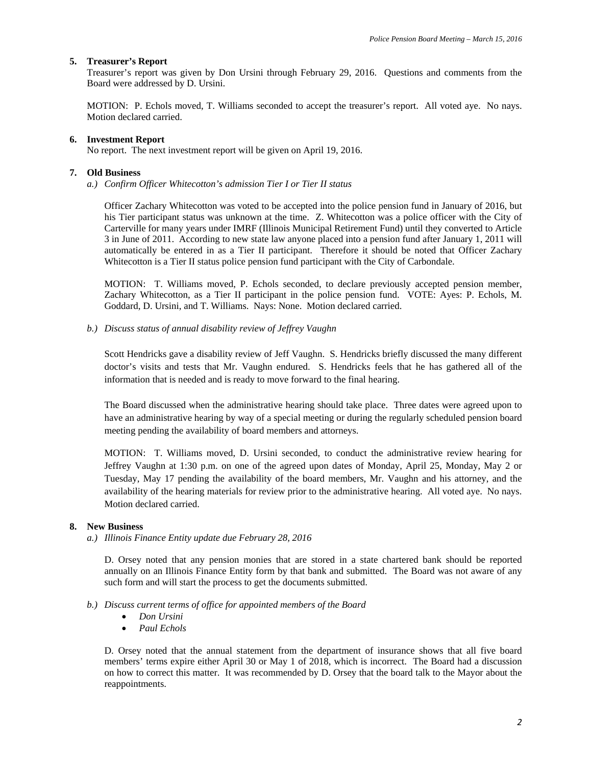### **5. Treasurer's Report**

Treasurer's report was given by Don Ursini through February 29, 2016. Questions and comments from the Board were addressed by D. Ursini.

MOTION: P. Echols moved, T. Williams seconded to accept the treasurer's report. All voted aye. No nays. Motion declared carried.

### **6. Investment Report**

No report. The next investment report will be given on April 19, 2016.

#### **7. Old Business**

*a.) Confirm Officer Whitecotton's admission Tier I or Tier II status* 

Officer Zachary Whitecotton was voted to be accepted into the police pension fund in January of 2016, but his Tier participant status was unknown at the time. Z. Whitecotton was a police officer with the City of Carterville for many years under IMRF (Illinois Municipal Retirement Fund) until they converted to Article 3 in June of 2011. According to new state law anyone placed into a pension fund after January 1, 2011 will automatically be entered in as a Tier II participant. Therefore it should be noted that Officer Zachary Whitecotton is a Tier II status police pension fund participant with the City of Carbondale.

MOTION: T. Williams moved, P. Echols seconded, to declare previously accepted pension member, Zachary Whitecotton, as a Tier II participant in the police pension fund. VOTE: Ayes: P. Echols, M. Goddard, D. Ursini, and T. Williams. Nays: None. Motion declared carried.

*b.) Discuss status of annual disability review of Jeffrey Vaughn* 

Scott Hendricks gave a disability review of Jeff Vaughn. S. Hendricks briefly discussed the many different doctor's visits and tests that Mr. Vaughn endured. S. Hendricks feels that he has gathered all of the information that is needed and is ready to move forward to the final hearing.

The Board discussed when the administrative hearing should take place. Three dates were agreed upon to have an administrative hearing by way of a special meeting or during the regularly scheduled pension board meeting pending the availability of board members and attorneys.

MOTION: T. Williams moved, D. Ursini seconded, to conduct the administrative review hearing for Jeffrey Vaughn at 1:30 p.m. on one of the agreed upon dates of Monday, April 25, Monday, May 2 or Tuesday, May 17 pending the availability of the board members, Mr. Vaughn and his attorney, and the availability of the hearing materials for review prior to the administrative hearing. All voted aye. No nays. Motion declared carried.

### **8. New Business**

*a.) Illinois Finance Entity update due February 28, 2016* 

D. Orsey noted that any pension monies that are stored in a state chartered bank should be reported annually on an Illinois Finance Entity form by that bank and submitted. The Board was not aware of any such form and will start the process to get the documents submitted.

#### *b.) Discuss current terms of office for appointed members of the Board*

- *Don Ursini*
- *Paul Echols*

D. Orsey noted that the annual statement from the department of insurance shows that all five board members' terms expire either April 30 or May 1 of 2018, which is incorrect. The Board had a discussion on how to correct this matter. It was recommended by D. Orsey that the board talk to the Mayor about the reappointments.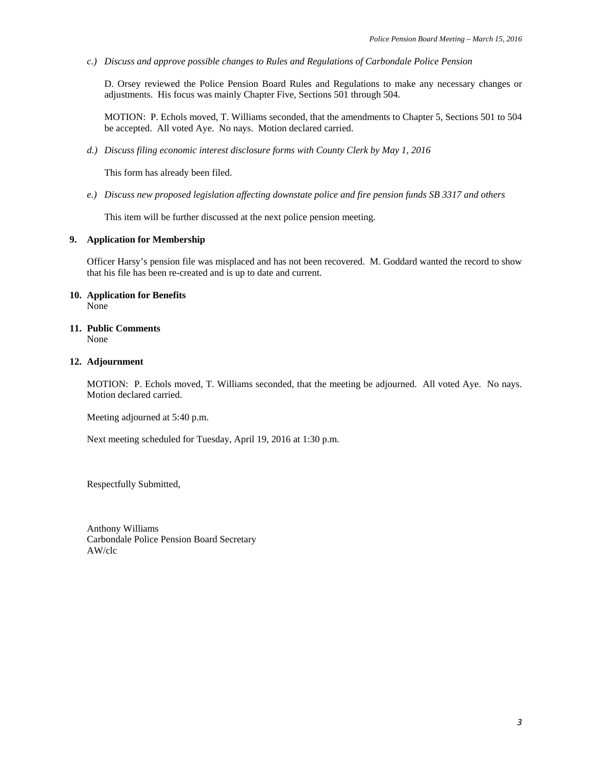*c.) Discuss and approve possible changes to Rules and Regulations of Carbondale Police Pension* 

D. Orsey reviewed the Police Pension Board Rules and Regulations to make any necessary changes or adjustments. His focus was mainly Chapter Five, Sections 501 through 504.

MOTION: P. Echols moved, T. Williams seconded, that the amendments to Chapter 5, Sections 501 to 504 be accepted. All voted Aye. No nays. Motion declared carried.

*d.) Discuss filing economic interest disclosure forms with County Clerk by May 1, 2016* 

This form has already been filed.

*e.) Discuss new proposed legislation affecting downstate police and fire pension funds SB 3317 and others* 

This item will be further discussed at the next police pension meeting.

### **9. Application for Membership**

Officer Harsy's pension file was misplaced and has not been recovered. M. Goddard wanted the record to show that his file has been re-created and is up to date and current.

#### **10. Application for Benefits**  None

**11. Public Comments**  None

### **12. Adjournment**

MOTION: P. Echols moved, T. Williams seconded, that the meeting be adjourned. All voted Aye. No nays. Motion declared carried.

Meeting adjourned at 5:40 p.m.

Next meeting scheduled for Tuesday, April 19, 2016 at 1:30 p.m.

Respectfully Submitted,

Anthony Williams Carbondale Police Pension Board Secretary AW/clc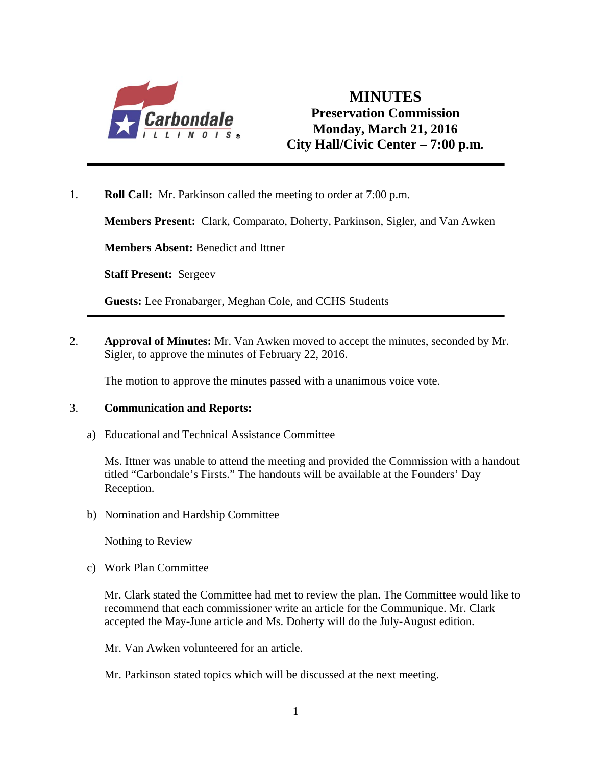

## **MINUTES Preservation Commission Monday, March 21, 2016 City Hall/Civic Center – 7:00 p.m***.*

1. **Roll Call:** Mr. Parkinson called the meeting to order at 7:00 p.m.

**Members Present:** Clark, Comparato, Doherty, Parkinson, Sigler, and Van Awken

**Members Absent:** Benedict and Ittner

**Staff Present:** Sergeev

**Guests:** Lee Fronabarger, Meghan Cole, and CCHS Students

2. **Approval of Minutes:** Mr. Van Awken moved to accept the minutes, seconded by Mr. Sigler, to approve the minutes of February 22, 2016.

The motion to approve the minutes passed with a unanimous voice vote.

## 3. **Communication and Reports:**

a) Educational and Technical Assistance Committee

Ms. Ittner was unable to attend the meeting and provided the Commission with a handout titled "Carbondale's Firsts." The handouts will be available at the Founders' Day Reception.

b) Nomination and Hardship Committee

Nothing to Review

c) Work Plan Committee

 Mr. Clark stated the Committee had met to review the plan. The Committee would like to recommend that each commissioner write an article for the Communique. Mr. Clark accepted the May-June article and Ms. Doherty will do the July-August edition.

Mr. Van Awken volunteered for an article.

Mr. Parkinson stated topics which will be discussed at the next meeting.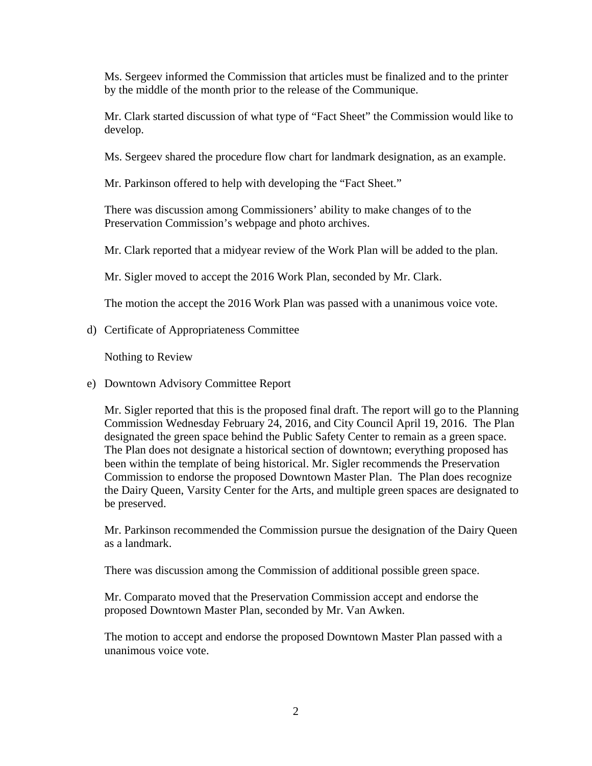Ms. Sergeev informed the Commission that articles must be finalized and to the printer by the middle of the month prior to the release of the Communique.

 Mr. Clark started discussion of what type of "Fact Sheet" the Commission would like to develop.

Ms. Sergeev shared the procedure flow chart for landmark designation, as an example.

Mr. Parkinson offered to help with developing the "Fact Sheet."

 There was discussion among Commissioners' ability to make changes of to the Preservation Commission's webpage and photo archives.

Mr. Clark reported that a midyear review of the Work Plan will be added to the plan.

Mr. Sigler moved to accept the 2016 Work Plan, seconded by Mr. Clark.

The motion the accept the 2016 Work Plan was passed with a unanimous voice vote.

d) Certificate of Appropriateness Committee

Nothing to Review

e) Downtown Advisory Committee Report

Mr. Sigler reported that this is the proposed final draft. The report will go to the Planning Commission Wednesday February 24, 2016, and City Council April 19, 2016. The Plan designated the green space behind the Public Safety Center to remain as a green space. The Plan does not designate a historical section of downtown; everything proposed has been within the template of being historical. Mr. Sigler recommends the Preservation Commission to endorse the proposed Downtown Master Plan. The Plan does recognize the Dairy Queen, Varsity Center for the Arts, and multiple green spaces are designated to be preserved.

Mr. Parkinson recommended the Commission pursue the designation of the Dairy Queen as a landmark.

There was discussion among the Commission of additional possible green space.

Mr. Comparato moved that the Preservation Commission accept and endorse the proposed Downtown Master Plan, seconded by Mr. Van Awken.

The motion to accept and endorse the proposed Downtown Master Plan passed with a unanimous voice vote.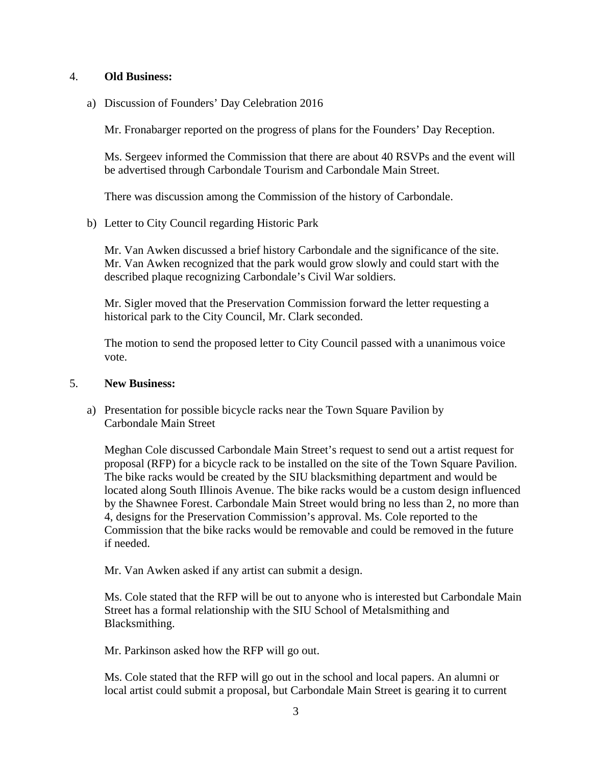## 4. **Old Business:**

a) Discussion of Founders' Day Celebration 2016

Mr. Fronabarger reported on the progress of plans for the Founders' Day Reception.

Ms. Sergeev informed the Commission that there are about 40 RSVPs and the event will be advertised through Carbondale Tourism and Carbondale Main Street.

There was discussion among the Commission of the history of Carbondale.

b) Letter to City Council regarding Historic Park

 Mr. Van Awken discussed a brief history Carbondale and the significance of the site. Mr. Van Awken recognized that the park would grow slowly and could start with the described plaque recognizing Carbondale's Civil War soldiers.

Mr. Sigler moved that the Preservation Commission forward the letter requesting a historical park to the City Council, Mr. Clark seconded.

The motion to send the proposed letter to City Council passed with a unanimous voice vote.

## 5. **New Business:**

a) Presentation for possible bicycle racks near the Town Square Pavilion by Carbondale Main Street

Meghan Cole discussed Carbondale Main Street's request to send out a artist request for proposal (RFP) for a bicycle rack to be installed on the site of the Town Square Pavilion. The bike racks would be created by the SIU blacksmithing department and would be located along South Illinois Avenue. The bike racks would be a custom design influenced by the Shawnee Forest. Carbondale Main Street would bring no less than 2, no more than 4, designs for the Preservation Commission's approval. Ms. Cole reported to the Commission that the bike racks would be removable and could be removed in the future if needed.

Mr. Van Awken asked if any artist can submit a design.

Ms. Cole stated that the RFP will be out to anyone who is interested but Carbondale Main Street has a formal relationship with the SIU School of Metalsmithing and Blacksmithing.

Mr. Parkinson asked how the RFP will go out.

Ms. Cole stated that the RFP will go out in the school and local papers. An alumni or local artist could submit a proposal, but Carbondale Main Street is gearing it to current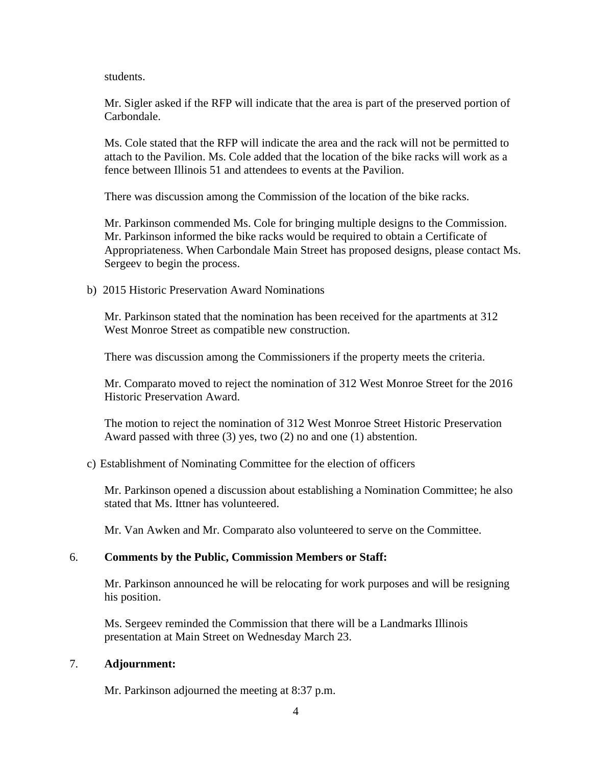students.

Mr. Sigler asked if the RFP will indicate that the area is part of the preserved portion of Carbondale.

Ms. Cole stated that the RFP will indicate the area and the rack will not be permitted to attach to the Pavilion. Ms. Cole added that the location of the bike racks will work as a fence between Illinois 51 and attendees to events at the Pavilion.

There was discussion among the Commission of the location of the bike racks.

Mr. Parkinson commended Ms. Cole for bringing multiple designs to the Commission. Mr. Parkinson informed the bike racks would be required to obtain a Certificate of Appropriateness. When Carbondale Main Street has proposed designs, please contact Ms. Sergeev to begin the process.

b) 2015 Historic Preservation Award Nominations

Mr. Parkinson stated that the nomination has been received for the apartments at 312 West Monroe Street as compatible new construction.

There was discussion among the Commissioners if the property meets the criteria.

Mr. Comparato moved to reject the nomination of 312 West Monroe Street for the 2016 Historic Preservation Award.

The motion to reject the nomination of 312 West Monroe Street Historic Preservation Award passed with three (3) yes, two (2) no and one (1) abstention.

## c) Establishment of Nominating Committee for the election of officers

Mr. Parkinson opened a discussion about establishing a Nomination Committee; he also stated that Ms. Ittner has volunteered.

Mr. Van Awken and Mr. Comparato also volunteered to serve on the Committee.

## 6. **Comments by the Public, Commission Members or Staff:**

Mr. Parkinson announced he will be relocating for work purposes and will be resigning his position.

Ms. Sergeev reminded the Commission that there will be a Landmarks Illinois presentation at Main Street on Wednesday March 23.

## 7. **Adjournment:**

Mr. Parkinson adjourned the meeting at 8:37 p.m.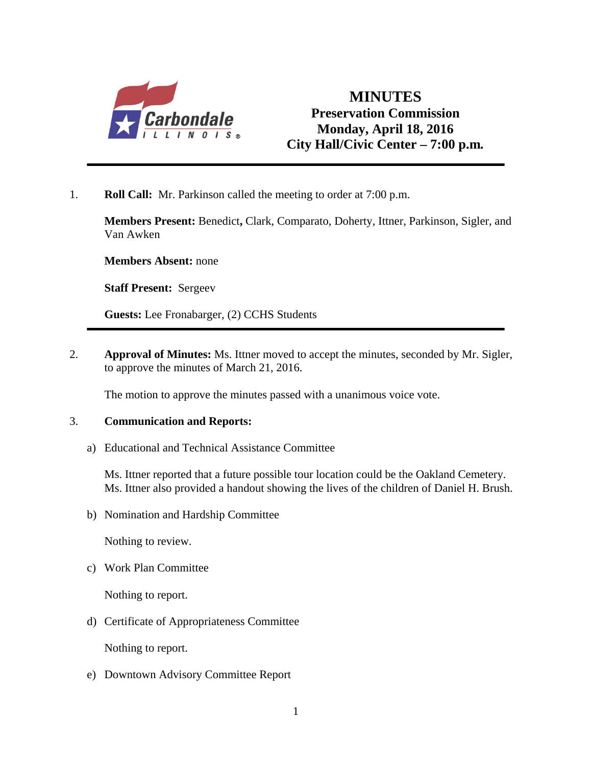

## **MINUTES Preservation Commission Monday, April 18, 2016 City Hall/Civic Center – 7:00 p.m***.*

1. **Roll Call:** Mr. Parkinson called the meeting to order at 7:00 p.m.

**Members Present:** Benedict**,** Clark, Comparato, Doherty, Ittner, Parkinson, Sigler, and Van Awken

**Members Absent:** none

**Staff Present:** Sergeev

**Guests:** Lee Fronabarger, (2) CCHS Students

2. **Approval of Minutes:** Ms. Ittner moved to accept the minutes, seconded by Mr. Sigler, to approve the minutes of March 21, 2016.

The motion to approve the minutes passed with a unanimous voice vote.

## 3. **Communication and Reports:**

a) Educational and Technical Assistance Committee

Ms. Ittner reported that a future possible tour location could be the Oakland Cemetery. Ms. Ittner also provided a handout showing the lives of the children of Daniel H. Brush.

b) Nomination and Hardship Committee

Nothing to review.

c) Work Plan Committee

Nothing to report.

d) Certificate of Appropriateness Committee

Nothing to report.

e) Downtown Advisory Committee Report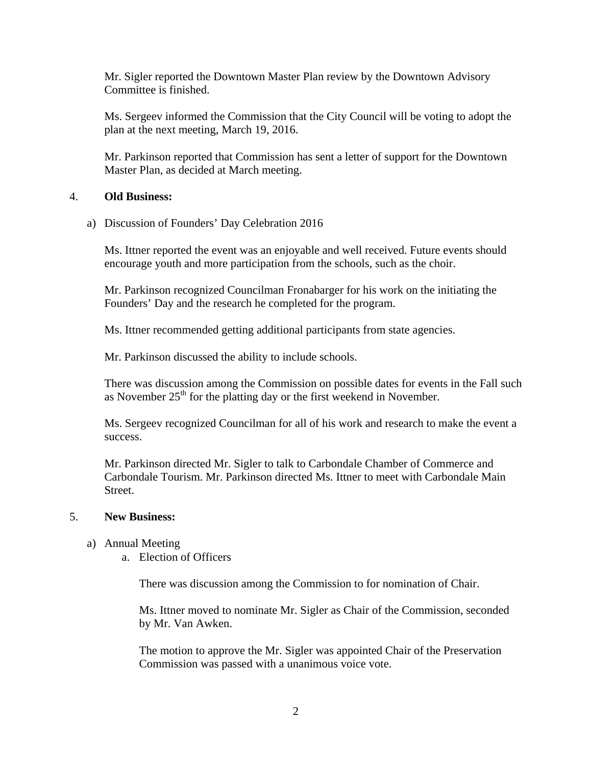Mr. Sigler reported the Downtown Master Plan review by the Downtown Advisory Committee is finished.

Ms. Sergeev informed the Commission that the City Council will be voting to adopt the plan at the next meeting, March 19, 2016.

Mr. Parkinson reported that Commission has sent a letter of support for the Downtown Master Plan, as decided at March meeting.

## 4. **Old Business:**

a) Discussion of Founders' Day Celebration 2016

Ms. Ittner reported the event was an enjoyable and well received. Future events should encourage youth and more participation from the schools, such as the choir.

Mr. Parkinson recognized Councilman Fronabarger for his work on the initiating the Founders' Day and the research he completed for the program.

Ms. Ittner recommended getting additional participants from state agencies.

Mr. Parkinson discussed the ability to include schools.

There was discussion among the Commission on possible dates for events in the Fall such as November  $25<sup>th</sup>$  for the platting day or the first weekend in November.

Ms. Sergeev recognized Councilman for all of his work and research to make the event a success.

Mr. Parkinson directed Mr. Sigler to talk to Carbondale Chamber of Commerce and Carbondale Tourism. Mr. Parkinson directed Ms. Ittner to meet with Carbondale Main Street.

## 5. **New Business:**

- a) Annual Meeting
	- a. Election of Officers

There was discussion among the Commission to for nomination of Chair.

Ms. Ittner moved to nominate Mr. Sigler as Chair of the Commission, seconded by Mr. Van Awken.

The motion to approve the Mr. Sigler was appointed Chair of the Preservation Commission was passed with a unanimous voice vote.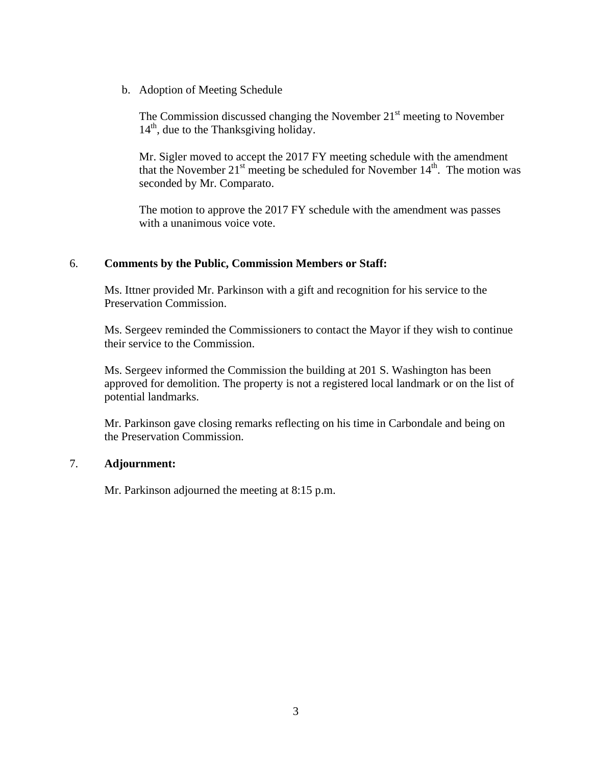b. Adoption of Meeting Schedule

The Commission discussed changing the November  $21<sup>st</sup>$  meeting to November  $14<sup>th</sup>$ , due to the Thanksgiving holiday.

Mr. Sigler moved to accept the 2017 FY meeting schedule with the amendment that the November  $21^{st}$  meeting be scheduled for November  $14^{th}$ . The motion was seconded by Mr. Comparato.

The motion to approve the 2017 FY schedule with the amendment was passes with a unanimous voice vote.

## 6. **Comments by the Public, Commission Members or Staff:**

Ms. Ittner provided Mr. Parkinson with a gift and recognition for his service to the Preservation Commission.

Ms. Sergeev reminded the Commissioners to contact the Mayor if they wish to continue their service to the Commission.

Ms. Sergeev informed the Commission the building at 201 S. Washington has been approved for demolition. The property is not a registered local landmark or on the list of potential landmarks.

Mr. Parkinson gave closing remarks reflecting on his time in Carbondale and being on the Preservation Commission.

## 7. **Adjournment:**

Mr. Parkinson adjourned the meeting at 8:15 p.m.